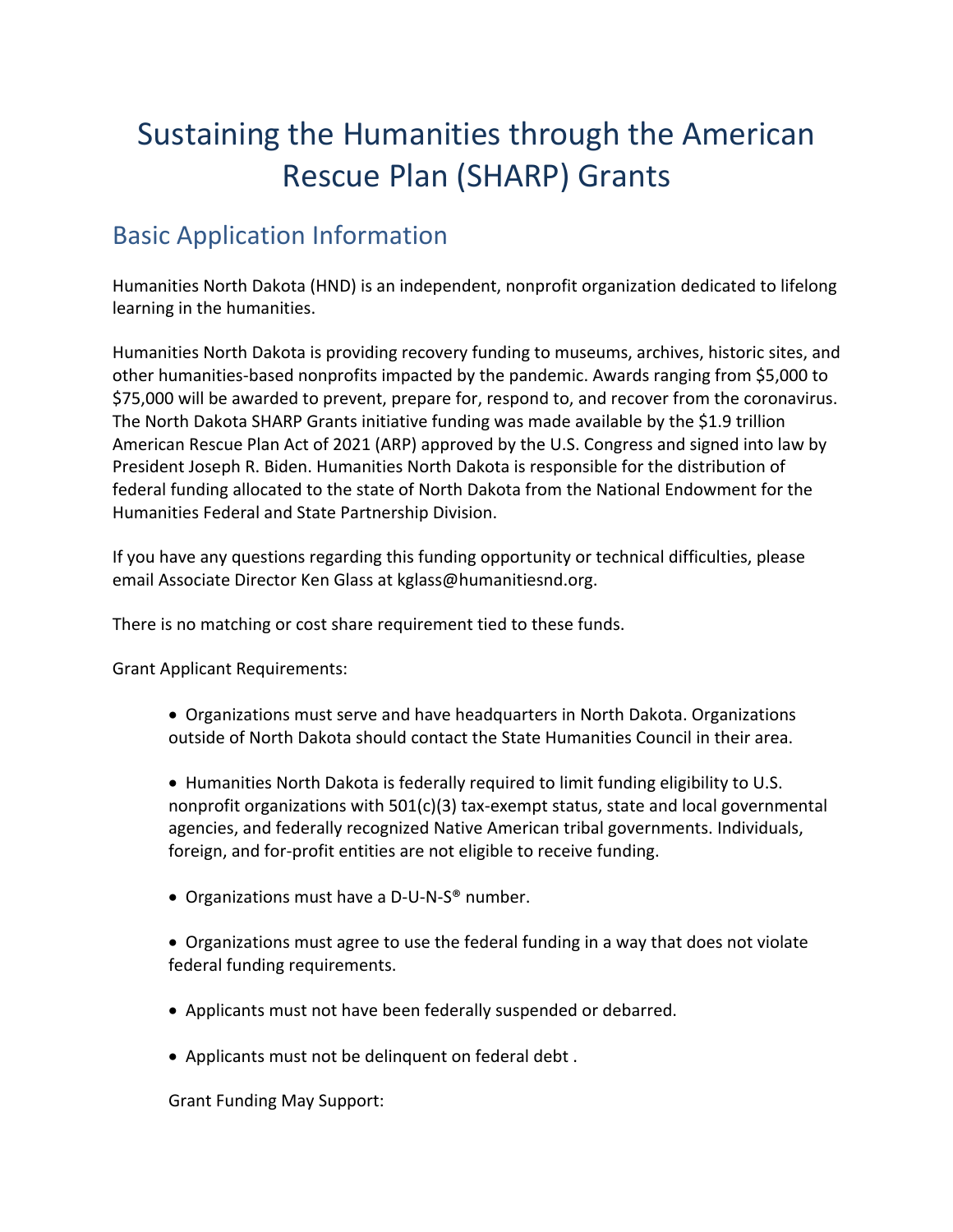# Sustaining the Humanities through the American Rescue Plan (SHARP) Grants

# Basic Application Information

Humanities North Dakota (HND) is an independent, nonprofit organization dedicated to lifelong learning in the humanities.

Humanities North Dakota is providing recovery funding to museums, archives, historic sites, and other humanities-based nonprofits impacted by the pandemic. Awards ranging from \$5,000 to \$75,000 will be awarded to prevent, prepare for, respond to, and recover from the coronavirus. The North Dakota SHARP Grants initiative funding was made available by the \$1.9 trillion American Rescue Plan Act of 2021 (ARP) approved by the U.S. Congress and signed into law by President Joseph R. Biden. Humanities North Dakota is responsible for the distribution of federal funding allocated to the state of North Dakota from the National Endowment for the Humanities Federal and State Partnership Division.

If you have any questions regarding this funding opportunity or technical difficulties, please email Associate Director Ken Glass at kglass@humanitiesnd.org.

There is no matching or cost share requirement tied to these funds.

Grant Applicant Requirements:

• Organizations must serve and have headquarters in North Dakota. Organizations outside of North Dakota should contact the State Humanities Council in their area.

• Humanities North Dakota is federally required to limit funding eligibility to U.S. nonprofit organizations with 501(c)(3) tax-exempt status, state and local governmental agencies, and federally recognized Native American tribal governments. Individuals, foreign, and for-profit entities are not eligible to receive funding.

• Organizations must have a D-U-N-S® number.

• Organizations must agree to use the federal funding in a way that does not violate federal funding requirements.

- Applicants must not have been federally suspended or debarred.
- Applicants must not be delinquent on federal debt .

Grant Funding May Support: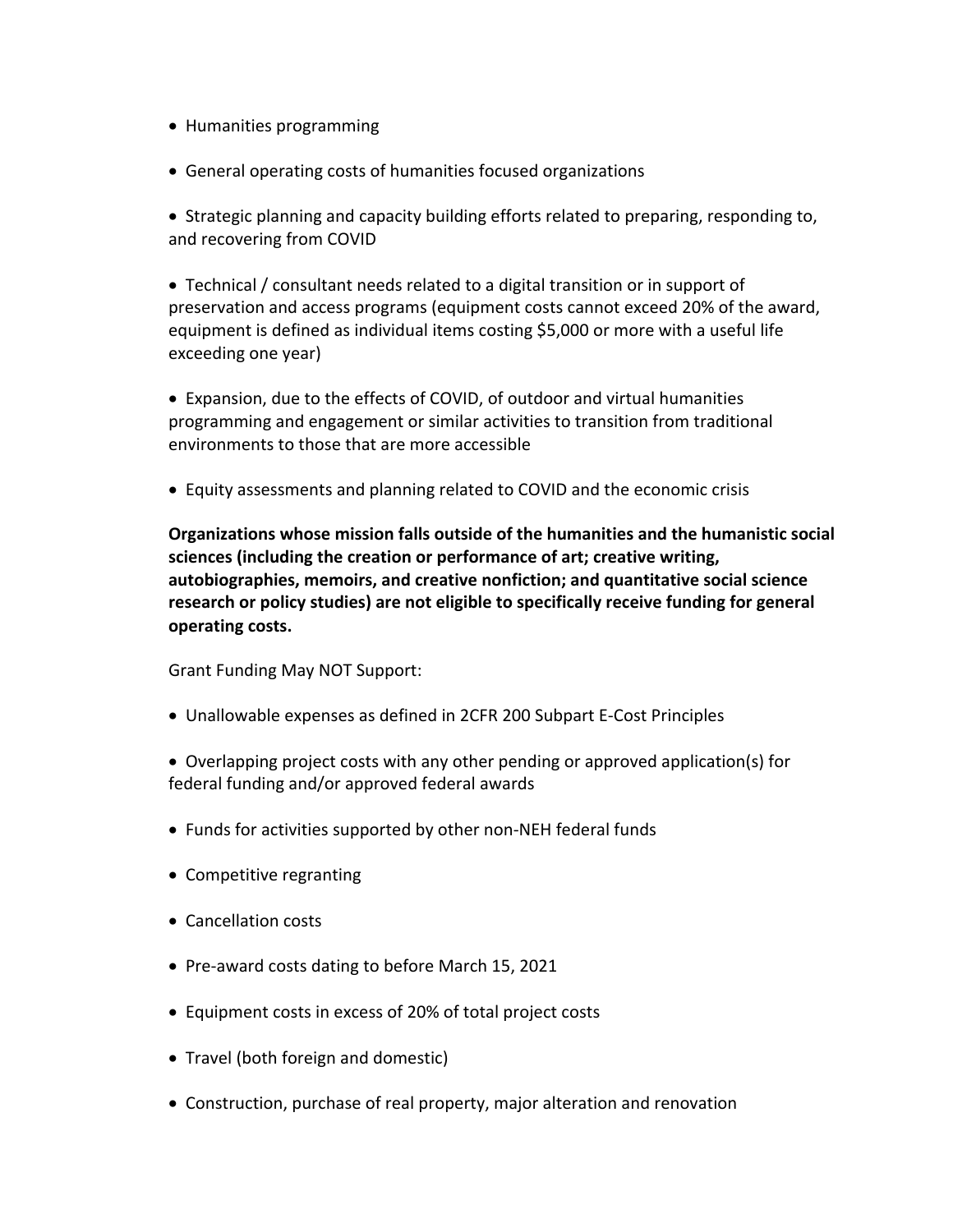- Humanities programming
- General operating costs of humanities focused organizations

• Strategic planning and capacity building efforts related to preparing, responding to, and recovering from COVID

• Technical / consultant needs related to a digital transition or in support of preservation and access programs (equipment costs cannot exceed 20% of the award, equipment is defined as individual items costing \$5,000 or more with a useful life exceeding one year)

• Expansion, due to the effects of COVID, of outdoor and virtual humanities programming and engagement or similar activities to transition from traditional environments to those that are more accessible

• Equity assessments and planning related to COVID and the economic crisis

**Organizations whose mission falls outside of the humanities and the humanistic social sciences (including the creation or performance of art; creative writing, autobiographies, memoirs, and creative nonfiction; and quantitative social science research or policy studies) are not eligible to specifically receive funding for general operating costs.** 

Grant Funding May NOT Support:

- Unallowable expenses as defined in 2CFR 200 Subpart E-Cost Principles
- Overlapping project costs with any other pending or approved application(s) for federal funding and/or approved federal awards
- Funds for activities supported by other non-NEH federal funds
- Competitive regranting
- Cancellation costs
- Pre-award costs dating to before March 15, 2021
- Equipment costs in excess of 20% of total project costs
- Travel (both foreign and domestic)
- Construction, purchase of real property, major alteration and renovation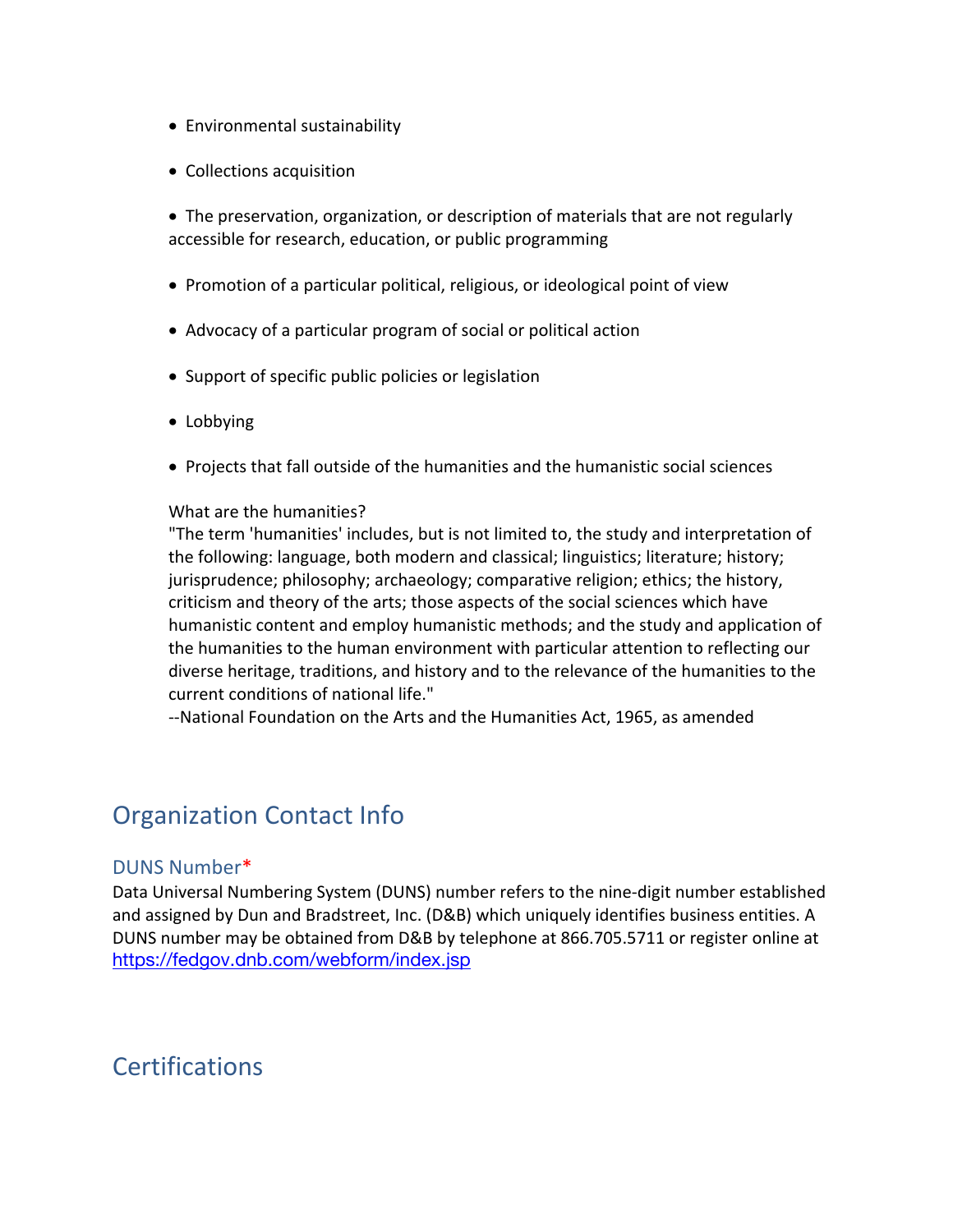- Environmental sustainability
- Collections acquisition

• The preservation, organization, or description of materials that are not regularly accessible for research, education, or public programming

- Promotion of a particular political, religious, or ideological point of view
- Advocacy of a particular program of social or political action
- Support of specific public policies or legislation
- Lobbying
- Projects that fall outside of the humanities and the humanistic social sciences

#### What are the humanities?

"The term 'humanities' includes, but is not limited to, the study and interpretation of the following: language, both modern and classical; linguistics; literature; history; jurisprudence; philosophy; archaeology; comparative religion; ethics; the history, criticism and theory of the arts; those aspects of the social sciences which have humanistic content and employ humanistic methods; and the study and application of the humanities to the human environment with particular attention to reflecting our diverse heritage, traditions, and history and to the relevance of the humanities to the current conditions of national life."

--National Foundation on the Arts and the Humanities Act, 1965, as amended

### Organization Contact Info

#### DUNS Number\*

Data Universal Numbering System (DUNS) number refers to the nine-digit number established and assigned by Dun and Bradstreet, Inc. (D&B) which uniquely identifies business entities. A DUNS number may be obtained from D&B by telephone at 866.705.5711 or register online at https://fedgov.dnb.com/webform/index.jsp

### **Certifications**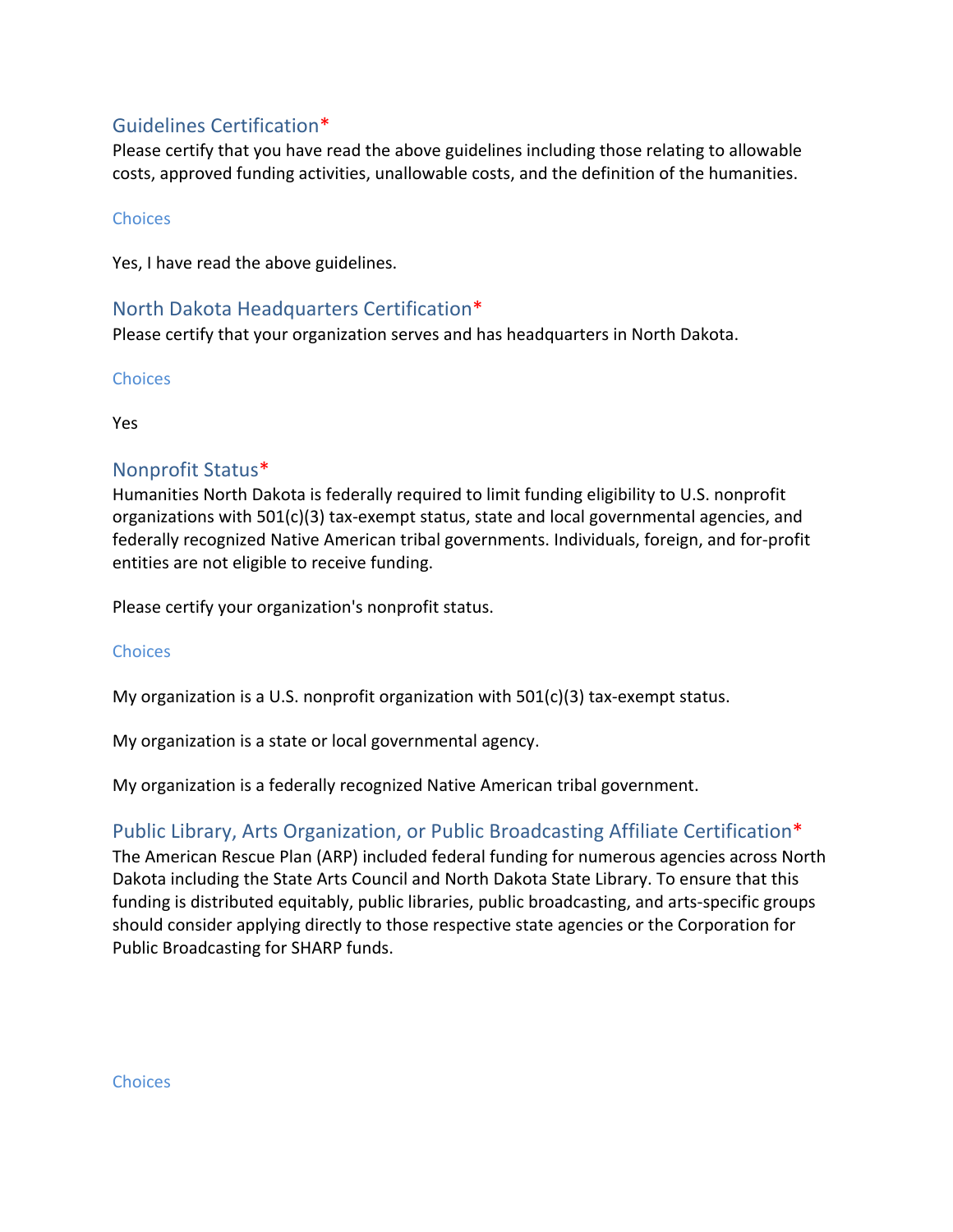### Guidelines Certification\*

Please certify that you have read the above guidelines including those relating to allowable costs, approved funding activities, unallowable costs, and the definition of the humanities.

#### **Choices**

Yes, I have read the above guidelines.

#### North Dakota Headquarters Certification\*

Please certify that your organization serves and has headquarters in North Dakota.

**Choices** 

Yes

### Nonprofit Status\*

Humanities North Dakota is federally required to limit funding eligibility to U.S. nonprofit organizations with 501(c)(3) tax-exempt status, state and local governmental agencies, and federally recognized Native American tribal governments. Individuals, foreign, and for-profit entities are not eligible to receive funding.

Please certify your organization's nonprofit status.

#### **Choices**

My organization is a U.S. nonprofit organization with  $501(c)(3)$  tax-exempt status.

My organization is a state or local governmental agency.

My organization is a federally recognized Native American tribal government.

### Public Library, Arts Organization, or Public Broadcasting Affiliate Certification\*

The American Rescue Plan (ARP) included federal funding for numerous agencies across North Dakota including the State Arts Council and North Dakota State Library. To ensure that this funding is distributed equitably, public libraries, public broadcasting, and arts-specific groups should consider applying directly to those respective state agencies or the Corporation for Public Broadcasting for SHARP funds.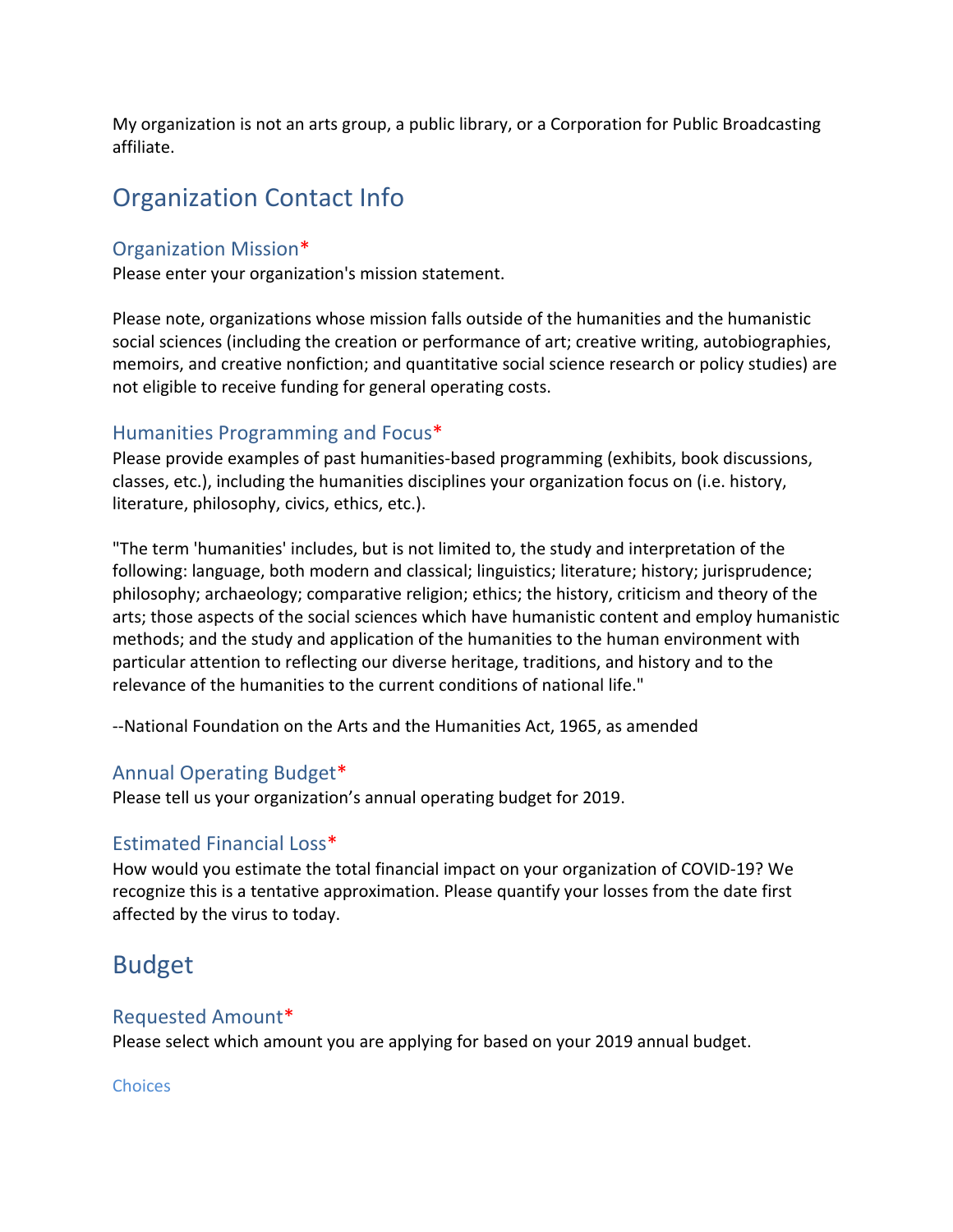My organization is not an arts group, a public library, or a Corporation for Public Broadcasting affiliate.

# Organization Contact Info

#### Organization Mission\*

Please enter your organization's mission statement.

Please note, organizations whose mission falls outside of the humanities and the humanistic social sciences (including the creation or performance of art; creative writing, autobiographies, memoirs, and creative nonfiction; and quantitative social science research or policy studies) are not eligible to receive funding for general operating costs.

#### Humanities Programming and Focus\*

Please provide examples of past humanities-based programming (exhibits, book discussions, classes, etc.), including the humanities disciplines your organization focus on (i.e. history, literature, philosophy, civics, ethics, etc.).

"The term 'humanities' includes, but is not limited to, the study and interpretation of the following: language, both modern and classical; linguistics; literature; history; jurisprudence; philosophy; archaeology; comparative religion; ethics; the history, criticism and theory of the arts; those aspects of the social sciences which have humanistic content and employ humanistic methods; and the study and application of the humanities to the human environment with particular attention to reflecting our diverse heritage, traditions, and history and to the relevance of the humanities to the current conditions of national life."

--National Foundation on the Arts and the Humanities Act, 1965, as amended

### Annual Operating Budget\*

Please tell us your organization's annual operating budget for 2019.

### Estimated Financial Loss\*

How would you estimate the total financial impact on your organization of COVID-19? We recognize this is a tentative approximation. Please quantify your losses from the date first affected by the virus to today.

# Budget

### Requested Amount\*

Please select which amount you are applying for based on your 2019 annual budget.

#### **Choices**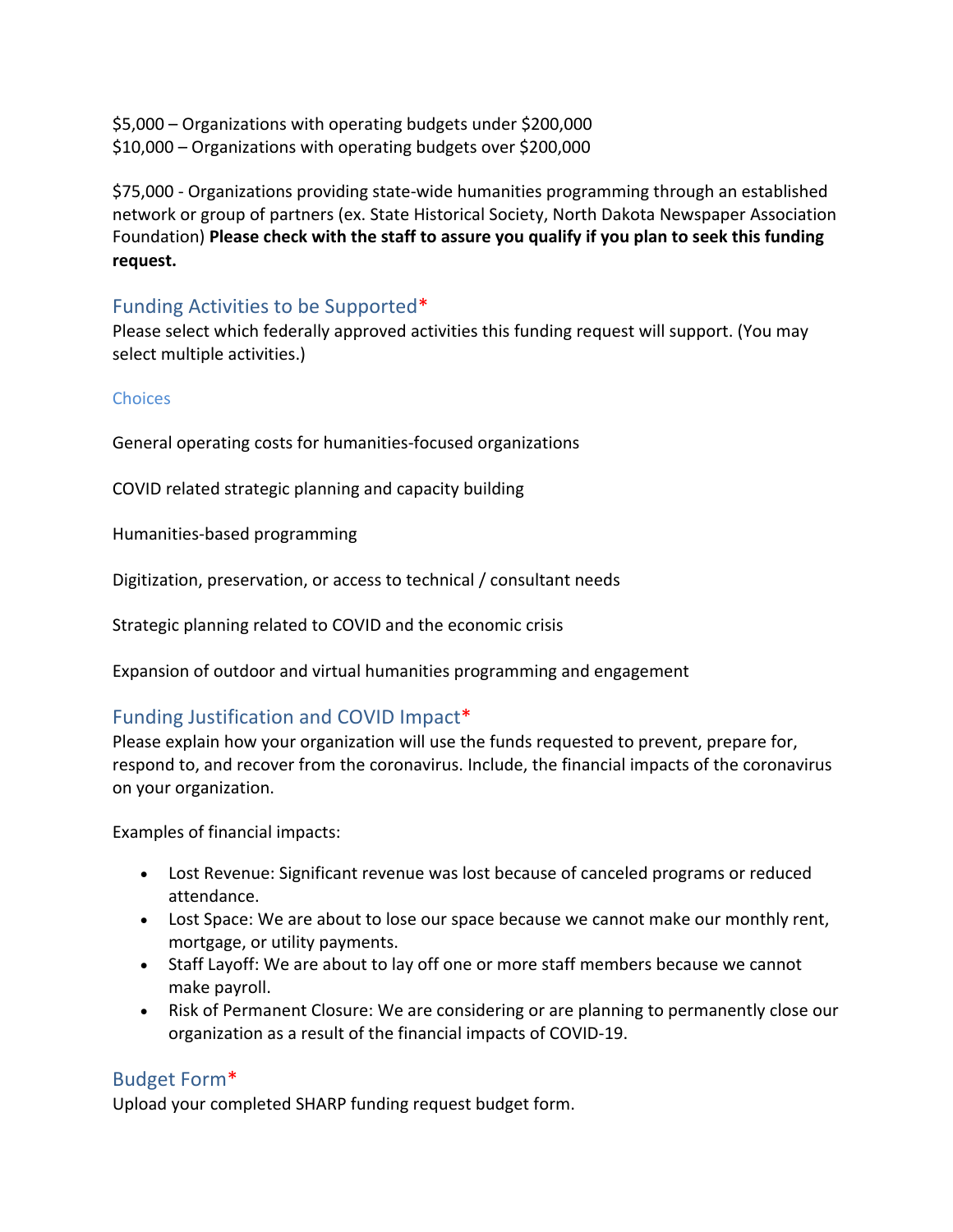\$5,000 – Organizations with operating budgets under \$200,000 \$10,000 – Organizations with operating budgets over \$200,000

\$75,000 - Organizations providing state-wide humanities programming through an established network or group of partners (ex. State Historical Society, North Dakota Newspaper Association Foundation) **Please check with the staff to assure you qualify if you plan to seek this funding request.**

### Funding Activities to be Supported\*

Please select which federally approved activities this funding request will support. (You may select multiple activities.)

#### **Choices**

General operating costs for humanities-focused organizations

COVID related strategic planning and capacity building

Humanities-based programming

Digitization, preservation, or access to technical / consultant needs

Strategic planning related to COVID and the economic crisis

Expansion of outdoor and virtual humanities programming and engagement

### Funding Justification and COVID Impact\*

Please explain how your organization will use the funds requested to prevent, prepare for, respond to, and recover from the coronavirus. Include, the financial impacts of the coronavirus on your organization.

Examples of financial impacts:

- Lost Revenue: Significant revenue was lost because of canceled programs or reduced attendance.
- Lost Space: We are about to lose our space because we cannot make our monthly rent, mortgage, or utility payments.
- Staff Layoff: We are about to lay off one or more staff members because we cannot make payroll.
- Risk of Permanent Closure: We are considering or are planning to permanently close our organization as a result of the financial impacts of COVID-19.

### Budget Form\*

Upload your completed SHARP funding request budget form.